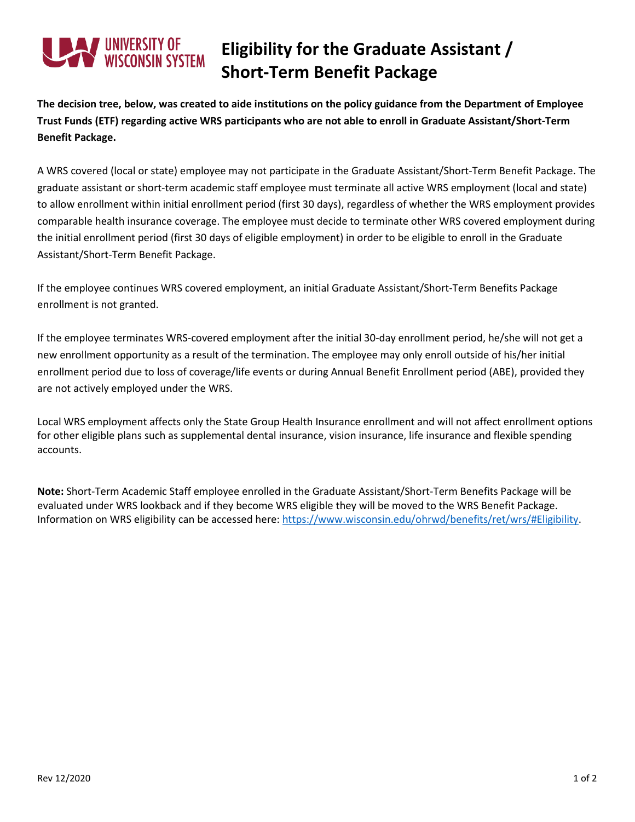## ' UNIVERSITY OF<br>WISCONSIN SYSTEM

## **Eligibility for the Graduate Assistant / Short-Term Benefit Package**

**The decision tree, below, was created to aide institutions on the policy guidance from the Department of Employee Trust Funds (ETF) regarding active WRS participants who are not able to enroll in Graduate Assistant/Short-Term Benefit Package.** 

A WRS covered (local or state) employee may not participate in the Graduate Assistant/Short-Term Benefit Package. The graduate assistant or short-term academic staff employee must terminate all active WRS employment (local and state) to allow enrollment within initial enrollment period (first 30 days), regardless of whether the WRS employment provides comparable health insurance coverage. The employee must decide to terminate other WRS covered employment during the initial enrollment period (first 30 days of eligible employment) in order to be eligible to enroll in the Graduate Assistant/Short-Term Benefit Package.

If the employee continues WRS covered employment, an initial Graduate Assistant/Short-Term Benefits Package enrollment is not granted.

If the employee terminates WRS-covered employment after the initial 30-day enrollment period, he/she will not get a new enrollment opportunity as a result of the termination. The employee may only enroll outside of his/her initial enrollment period due to loss of coverage/life events or during Annual Benefit Enrollment period (ABE), provided they are not actively employed under the WRS.

Local WRS employment affects only the State Group Health Insurance enrollment and will not affect enrollment options for other eligible plans such as supplemental dental insurance, vision insurance, life insurance and flexible spending accounts.

**Note:** Short-Term Academic Staff employee enrolled in the Graduate Assistant/Short-Term Benefits Package will be evaluated under WRS lookback and if they become WRS eligible they will be moved to the WRS Benefit Package. Information on WRS eligibility can be accessed here: [https://www.wisconsin.edu/ohrwd/benefits/ret/wrs/#Eligibility.](https://www.wisconsin.edu/ohrwd/benefits/ret/wrs/#Eligibility)